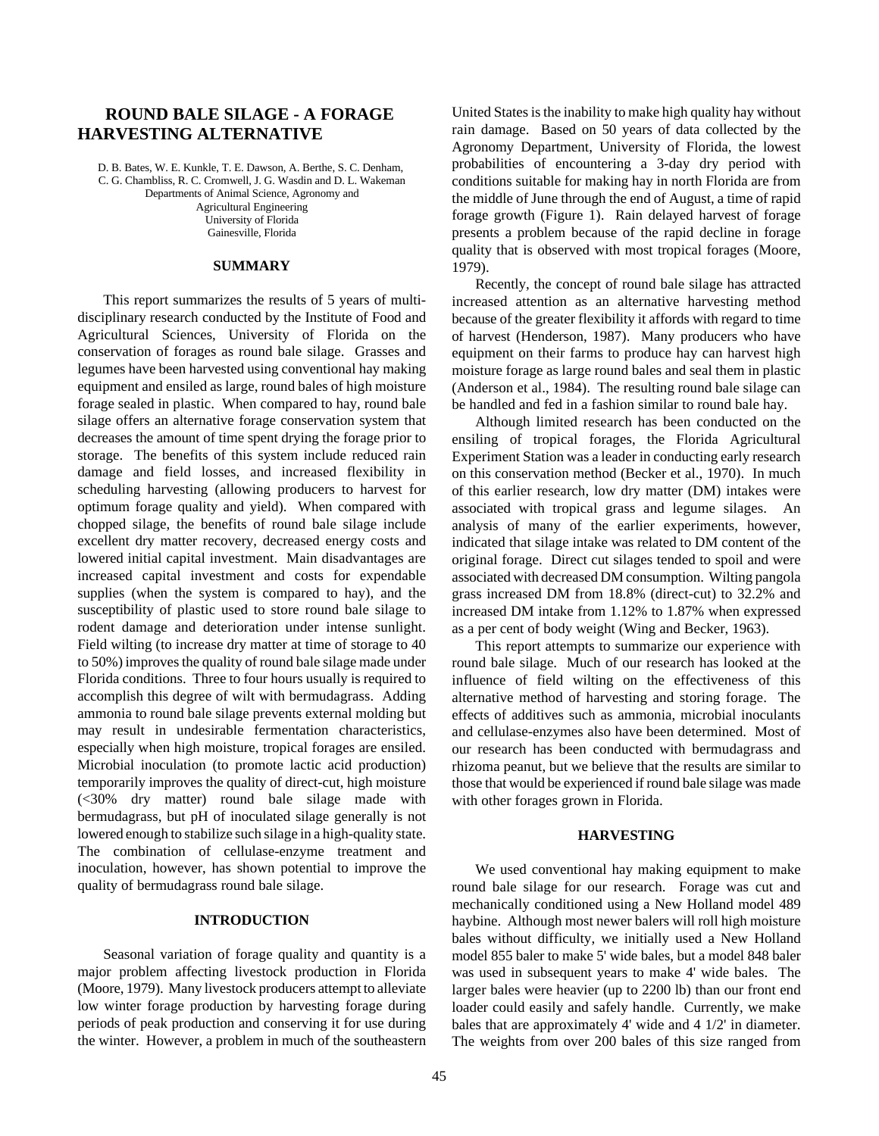# **ROUND BALE SILAGE - A FORAGE HARVESTING ALTERNATIVE**

D. B. Bates, W. E. Kunkle, T. E. Dawson, A. Berthe, S. C. Denham, C. G. Chambliss, R. C. Cromwell, J. G. Wasdin and D. L. Wakeman Departments of Animal Science, Agronomy and Agricultural Engineering University of Florida

Gainesville, Florida

## **SUMMARY**

This report summarizes the results of 5 years of multidisciplinary research conducted by the Institute of Food and Agricultural Sciences, University of Florida on the conservation of forages as round bale silage. Grasses and legumes have been harvested using conventional hay making equipment and ensiled as large, round bales of high moisture forage sealed in plastic. When compared to hay, round bale silage offers an alternative forage conservation system that decreases the amount of time spent drying the forage prior to storage. The benefits of this system include reduced rain damage and field losses, and increased flexibility in scheduling harvesting (allowing producers to harvest for optimum forage quality and yield). When compared with chopped silage, the benefits of round bale silage include excellent dry matter recovery, decreased energy costs and lowered initial capital investment. Main disadvantages are increased capital investment and costs for expendable supplies (when the system is compared to hay), and the susceptibility of plastic used to store round bale silage to rodent damage and deterioration under intense sunlight. Field wilting (to increase dry matter at time of storage to 40 to 50%) improves the quality of round bale silage made under Florida conditions. Three to four hours usually is required to accomplish this degree of wilt with bermudagrass. Adding ammonia to round bale silage prevents external molding but may result in undesirable fermentation characteristics, especially when high moisture, tropical forages are ensiled. Microbial inoculation (to promote lactic acid production) temporarily improves the quality of direct-cut, high moisture (<30% dry matter) round bale silage made with bermudagrass, but pH of inoculated silage generally is not lowered enough to stabilize such silage in a high-quality state. The combination of cellulase-enzyme treatment and inoculation, however, has shown potential to improve the quality of bermudagrass round bale silage.

## **INTRODUCTION**

Seasonal variation of forage quality and quantity is a major problem affecting livestock production in Florida (Moore, 1979). Many livestock producers attempt to alleviate low winter forage production by harvesting forage during periods of peak production and conserving it for use during the winter. However, a problem in much of the southeastern United States is the inability to make high quality hay without rain damage. Based on 50 years of data collected by the Agronomy Department, University of Florida, the lowest probabilities of encountering a 3-day dry period with conditions suitable for making hay in north Florida are from the middle of June through the end of August, a time of rapid forage growth (Figure 1). Rain delayed harvest of forage presents a problem because of the rapid decline in forage quality that is observed with most tropical forages (Moore, 1979).

Recently, the concept of round bale silage has attracted increased attention as an alternative harvesting method because of the greater flexibility it affords with regard to time of harvest (Henderson, 1987). Many producers who have equipment on their farms to produce hay can harvest high moisture forage as large round bales and seal them in plastic (Anderson et al., 1984). The resulting round bale silage can be handled and fed in a fashion similar to round bale hay.

Although limited research has been conducted on the ensiling of tropical forages, the Florida Agricultural Experiment Station was a leader in conducting early research on this conservation method (Becker et al., 1970). In much of this earlier research, low dry matter (DM) intakes were associated with tropical grass and legume silages. An analysis of many of the earlier experiments, however, indicated that silage intake was related to DM content of the original forage. Direct cut silages tended to spoil and were associated with decreased DM consumption. Wilting pangola grass increased DM from 18.8% (direct-cut) to 32.2% and increased DM intake from 1.12% to 1.87% when expressed as a per cent of body weight (Wing and Becker, 1963).

This report attempts to summarize our experience with round bale silage. Much of our research has looked at the influence of field wilting on the effectiveness of this alternative method of harvesting and storing forage. The effects of additives such as ammonia, microbial inoculants and cellulase-enzymes also have been determined. Most of our research has been conducted with bermudagrass and rhizoma peanut, but we believe that the results are similar to those that would be experienced if round bale silage was made with other forages grown in Florida.

# **HARVESTING**

We used conventional hay making equipment to make round bale silage for our research. Forage was cut and mechanically conditioned using a New Holland model 489 haybine. Although most newer balers will roll high moisture bales without difficulty, we initially used a New Holland model 855 baler to make 5' wide bales, but a model 848 baler was used in subsequent years to make 4' wide bales. The larger bales were heavier (up to 2200 lb) than our front end loader could easily and safely handle. Currently, we make bales that are approximately 4' wide and 4 1/2' in diameter. The weights from over 200 bales of this size ranged from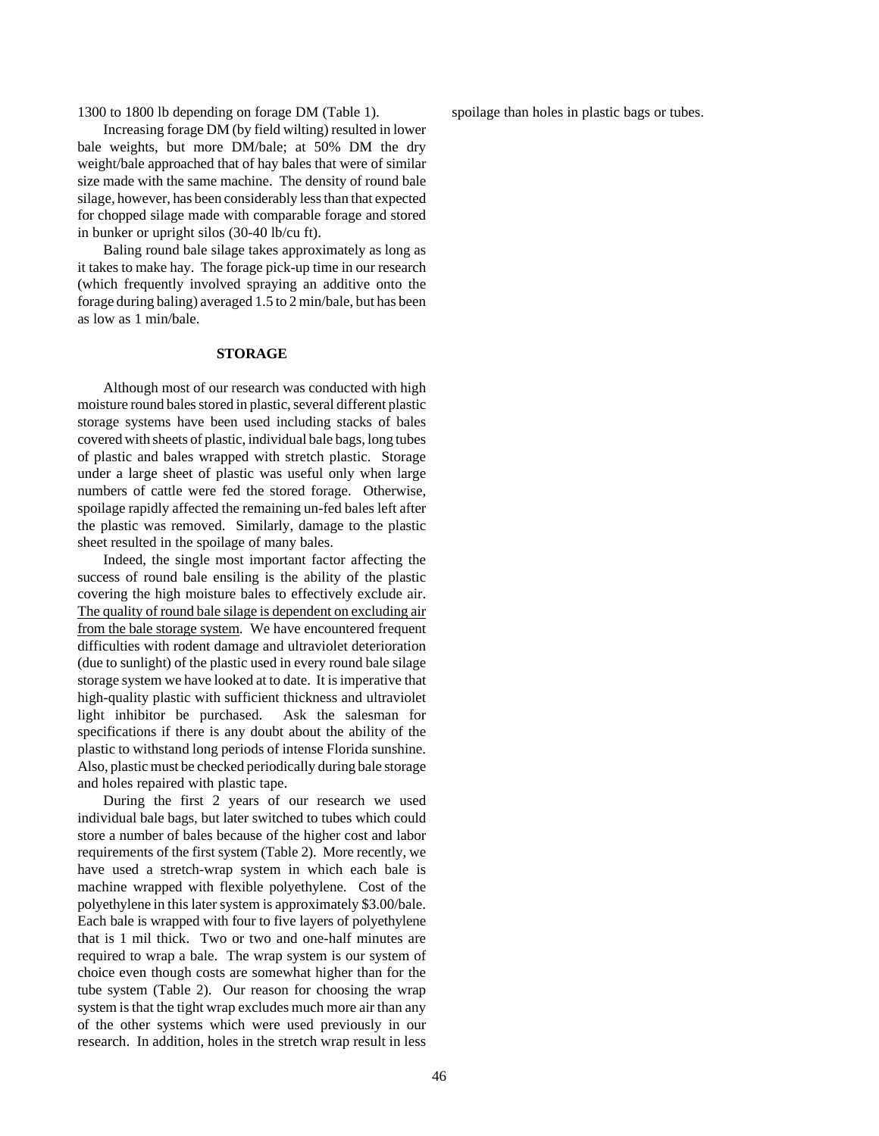1300 to 1800 lb depending on forage DM (Table 1).

Increasing forage DM (by field wilting) resulted in lower bale weights, but more DM/bale; at 50% DM the dry weight/bale approached that of hay bales that were of similar size made with the same machine. The density of round bale silage, however, has been considerably less than that expected for chopped silage made with comparable forage and stored in bunker or upright silos (30-40 lb/cu ft).

Baling round bale silage takes approximately as long as it takes to make hay. The forage pick-up time in our research (which frequently involved spraying an additive onto the forage during baling) averaged 1.5 to 2 min/bale, but has been as low as 1 min/bale.

# **STORAGE**

Although most of our research was conducted with high moisture round bales stored in plastic, several different plastic storage systems have been used including stacks of bales covered with sheets of plastic, individual bale bags, long tubes of plastic and bales wrapped with stretch plastic. Storage under a large sheet of plastic was useful only when large numbers of cattle were fed the stored forage. Otherwise, spoilage rapidly affected the remaining un-fed bales left after the plastic was removed. Similarly, damage to the plastic sheet resulted in the spoilage of many bales.

Indeed, the single most important factor affecting the success of round bale ensiling is the ability of the plastic covering the high moisture bales to effectively exclude air. The quality of round bale silage is dependent on excluding air from the bale storage system. We have encountered frequent difficulties with rodent damage and ultraviolet deterioration (due to sunlight) of the plastic used in every round bale silage storage system we have looked at to date. It is imperative that high-quality plastic with sufficient thickness and ultraviolet light inhibitor be purchased. Ask the salesman for specifications if there is any doubt about the ability of the plastic to withstand long periods of intense Florida sunshine. Also, plastic must be checked periodically during bale storage and holes repaired with plastic tape.

During the first 2 years of our research we used individual bale bags, but later switched to tubes which could store a number of bales because of the higher cost and labor requirements of the first system (Table 2). More recently, we have used a stretch-wrap system in which each bale is machine wrapped with flexible polyethylene. Cost of the polyethylene in this later system is approximately \$3.00/bale. Each bale is wrapped with four to five layers of polyethylene that is 1 mil thick. Two or two and one-half minutes are required to wrap a bale. The wrap system is our system of choice even though costs are somewhat higher than for the tube system (Table 2). Our reason for choosing the wrap system is that the tight wrap excludes much more air than any of the other systems which were used previously in our research. In addition, holes in the stretch wrap result in less spoilage than holes in plastic bags or tubes.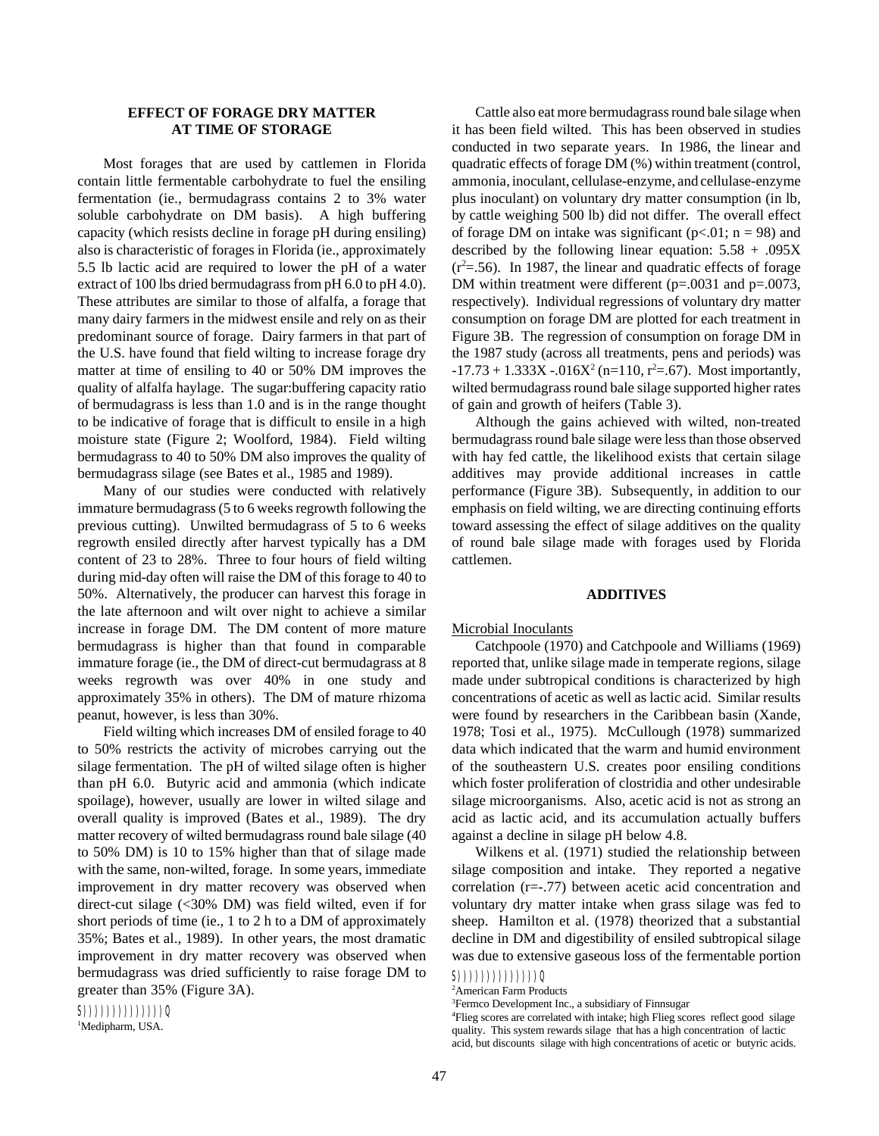# **EFFECT OF FORAGE DRY MATTER AT TIME OF STORAGE**

Most forages that are used by cattlemen in Florida contain little fermentable carbohydrate to fuel the ensiling fermentation (ie., bermudagrass contains 2 to 3% water soluble carbohydrate on DM basis). A high buffering capacity (which resists decline in forage pH during ensiling) also is characteristic of forages in Florida (ie., approximately 5.5 lb lactic acid are required to lower the pH of a water extract of 100 lbs dried bermudagrass from pH 6.0 to pH 4.0). These attributes are similar to those of alfalfa, a forage that many dairy farmers in the midwest ensile and rely on as their predominant source of forage. Dairy farmers in that part of the U.S. have found that field wilting to increase forage dry matter at time of ensiling to 40 or 50% DM improves the quality of alfalfa haylage. The sugar:buffering capacity ratio of bermudagrass is less than 1.0 and is in the range thought to be indicative of forage that is difficult to ensile in a high moisture state (Figure 2; Woolford, 1984). Field wilting bermudagrass to 40 to 50% DM also improves the quality of bermudagrass silage (see Bates et al., 1985 and 1989).

Many of our studies were conducted with relatively immature bermudagrass (5 to 6 weeks regrowth following the previous cutting). Unwilted bermudagrass of 5 to 6 weeks regrowth ensiled directly after harvest typically has a DM content of 23 to 28%. Three to four hours of field wilting during mid-day often will raise the DM of this forage to 40 to 50%. Alternatively, the producer can harvest this forage in the late afternoon and wilt over night to achieve a similar increase in forage DM. The DM content of more mature bermudagrass is higher than that found in comparable immature forage (ie., the DM of direct-cut bermudagrass at 8 weeks regrowth was over 40% in one study and approximately 35% in others). The DM of mature rhizoma peanut, however, is less than 30%.

Field wilting which increases DM of ensiled forage to 40 to 50% restricts the activity of microbes carrying out the silage fermentation. The pH of wilted silage often is higher than pH 6.0. Butyric acid and ammonia (which indicate spoilage), however, usually are lower in wilted silage and overall quality is improved (Bates et al., 1989). The dry matter recovery of wilted bermudagrass round bale silage (40 to 50% DM) is 10 to 15% higher than that of silage made with the same, non-wilted, forage. In some years, immediate improvement in dry matter recovery was observed when direct-cut silage (<30% DM) was field wilted, even if for short periods of time (ie., 1 to 2 h to a DM of approximately 35%; Bates et al., 1989). In other years, the most dramatic improvement in dry matter recovery was observed when bermudagrass was dried sufficiently to raise forage DM to greater than 35% (Figure 3A).

 $(S())))))))))))$ ))))))) <sup>1</sup>Medipharm, USA.

Cattle also eat more bermudagrass round bale silage when it has been field wilted. This has been observed in studies conducted in two separate years. In 1986, the linear and quadratic effects of forage DM (%) within treatment (control, ammonia, inoculant, cellulase-enzyme, and cellulase-enzyme plus inoculant) on voluntary dry matter consumption (in lb, by cattle weighing 500 lb) did not differ. The overall effect of forage DM on intake was significant ( $p<.01$ ; n = 98) and described by the following linear equation:  $5.58 + .095X$  $(r^2 = .56)$ . In 1987, the linear and quadratic effects of forage DM within treatment were different (p=.0031 and p=.0073, respectively). Individual regressions of voluntary dry matter consumption on forage DM are plotted for each treatment in Figure 3B. The regression of consumption on forage DM in the 1987 study (across all treatments, pens and periods) was  $-17.73 + 1.333X - 0.016X^2$  (n=110, r<sup>2</sup>=.67). Most importantly, wilted bermudagrass round bale silage supported higher rates of gain and growth of heifers (Table 3).

Although the gains achieved with wilted, non-treated bermudagrass round bale silage were less than those observed with hay fed cattle, the likelihood exists that certain silage additives may provide additional increases in cattle performance (Figure 3B). Subsequently, in addition to our emphasis on field wilting, we are directing continuing efforts toward assessing the effect of silage additives on the quality of round bale silage made with forages used by Florida cattlemen.

#### **ADDITIVES**

#### Microbial Inoculants

Catchpoole (1970) and Catchpoole and Williams (1969) reported that, unlike silage made in temperate regions, silage made under subtropical conditions is characterized by high concentrations of acetic as well as lactic acid. Similar results were found by researchers in the Caribbean basin (Xande, 1978; Tosi et al., 1975). McCullough (1978) summarized data which indicated that the warm and humid environment of the southeastern U.S. creates poor ensiling conditions which foster proliferation of clostridia and other undesirable silage microorganisms. Also, acetic acid is not as strong an acid as lactic acid, and its accumulation actually buffers against a decline in silage pH below 4.8.

Wilkens et al. (1971) studied the relationship between silage composition and intake. They reported a negative correlation (r=-.77) between acetic acid concentration and voluntary dry matter intake when grass silage was fed to sheep. Hamilton et al. (1978) theorized that a substantial decline in DM and digestibility of ensiled subtropical silage was due to extensive gaseous loss of the fermentable portion

<sup>4</sup>Flieg scores are correlated with intake; high Flieg scores reflect good silage quality. This system rewards silage that has a high concentration of lactic acid, but discounts silage with high concentrations of acetic or butyric acids.

 $S())))))))))$ ))))))))

<sup>2</sup>American Farm Products

<sup>3</sup>Fermco Development Inc., a subsidiary of Finnsugar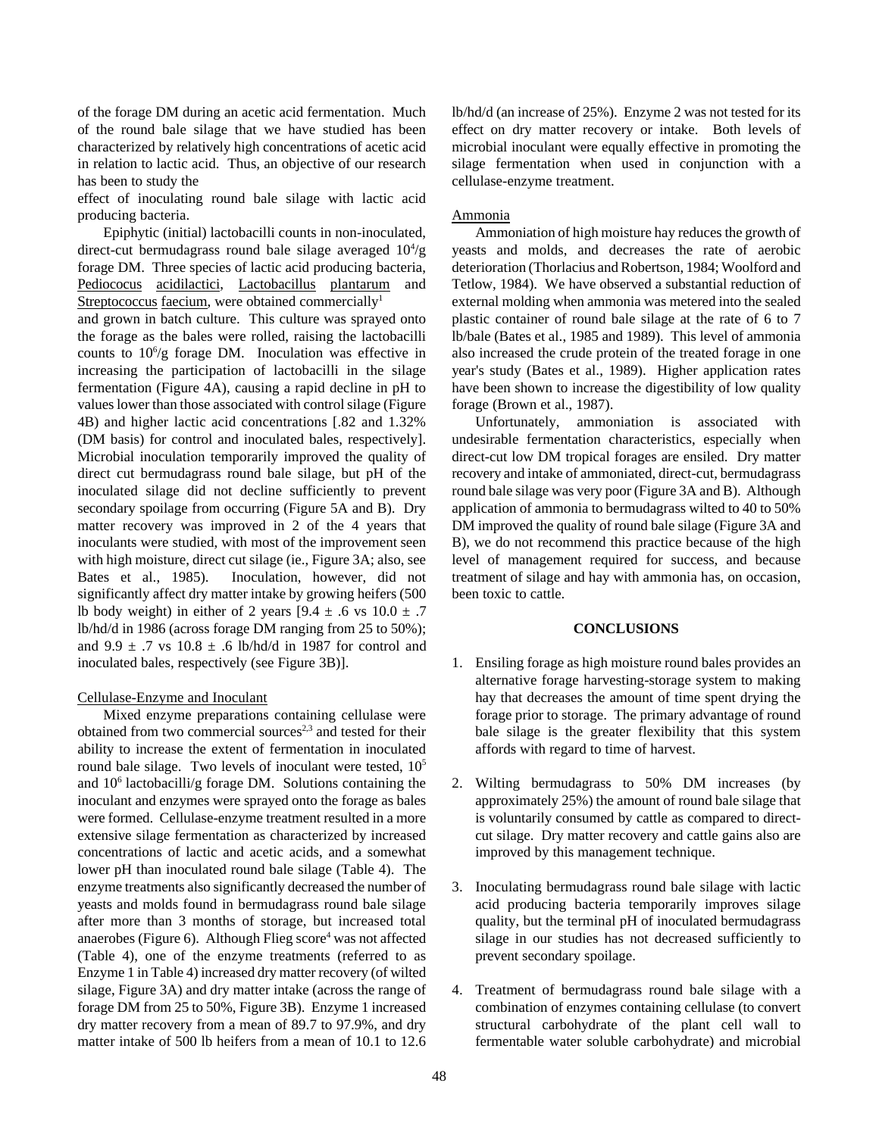of the forage DM during an acetic acid fermentation. Much of the round bale silage that we have studied has been characterized by relatively high concentrations of acetic acid in relation to lactic acid. Thus, an objective of our research has been to study the

effect of inoculating round bale silage with lactic acid producing bacteria.

Epiphytic (initial) lactobacilli counts in non-inoculated, direct-cut bermudagrass round bale silage averaged  $10<sup>4</sup>/g$ forage DM. Three species of lactic acid producing bacteria, Pediococus acidilactici, Lactobacillus plantarum and Streptococcus faecium, were obtained commercially<sup>1</sup>

and grown in batch culture. This culture was sprayed onto the forage as the bales were rolled, raising the lactobacilli counts to  $10^6$ /g forage DM. Inoculation was effective in increasing the participation of lactobacilli in the silage fermentation (Figure 4A), causing a rapid decline in pH to values lower than those associated with control silage (Figure 4B) and higher lactic acid concentrations [.82 and 1.32% (DM basis) for control and inoculated bales, respectively]. Microbial inoculation temporarily improved the quality of direct cut bermudagrass round bale silage, but pH of the inoculated silage did not decline sufficiently to prevent secondary spoilage from occurring (Figure 5A and B). Dry matter recovery was improved in 2 of the 4 years that inoculants were studied, with most of the improvement seen with high moisture, direct cut silage (ie., Figure 3A; also, see Bates et al., 1985). Inoculation, however, did not significantly affect dry matter intake by growing heifers (500 lb body weight) in either of 2 years  $[9.4 \pm .6 \text{ vs } 10.0 \pm .7$ lb/hd/d in 1986 (across forage DM ranging from 25 to 50%); and 9.9  $\pm$  .7 vs 10.8  $\pm$  .6 lb/hd/d in 1987 for control and inoculated bales, respectively (see Figure 3B)].

## Cellulase-Enzyme and Inoculant

Mixed enzyme preparations containing cellulase were obtained from two commercial sources<sup>2,3</sup> and tested for their ability to increase the extent of fermentation in inoculated round bale silage. Two levels of inoculant were tested,  $10<sup>5</sup>$ and  $10^6$  lactobacilli/g forage DM. Solutions containing the inoculant and enzymes were sprayed onto the forage as bales were formed. Cellulase-enzyme treatment resulted in a more extensive silage fermentation as characterized by increased concentrations of lactic and acetic acids, and a somewhat lower pH than inoculated round bale silage (Table 4). The enzyme treatments also significantly decreased the number of yeasts and molds found in bermudagrass round bale silage after more than 3 months of storage, but increased total anaerobes (Figure 6). Although Flieg score<sup>4</sup> was not affected (Table 4), one of the enzyme treatments (referred to as Enzyme 1 in Table 4) increased dry matter recovery (of wilted silage, Figure 3A) and dry matter intake (across the range of forage DM from 25 to 50%, Figure 3B). Enzyme 1 increased dry matter recovery from a mean of 89.7 to 97.9%, and dry matter intake of 500 lb heifers from a mean of 10.1 to 12.6 lb/hd/d (an increase of 25%). Enzyme 2 was not tested for its effect on dry matter recovery or intake. Both levels of microbial inoculant were equally effective in promoting the silage fermentation when used in conjunction with a cellulase-enzyme treatment.

#### Ammonia

Ammoniation of high moisture hay reduces the growth of yeasts and molds, and decreases the rate of aerobic deterioration (Thorlacius and Robertson, 1984; Woolford and Tetlow, 1984). We have observed a substantial reduction of external molding when ammonia was metered into the sealed plastic container of round bale silage at the rate of 6 to 7 lb/bale (Bates et al., 1985 and 1989). This level of ammonia also increased the crude protein of the treated forage in one year's study (Bates et al., 1989). Higher application rates have been shown to increase the digestibility of low quality forage (Brown et al., 1987).

Unfortunately, ammoniation is associated with undesirable fermentation characteristics, especially when direct-cut low DM tropical forages are ensiled. Dry matter recovery and intake of ammoniated, direct-cut, bermudagrass round bale silage was very poor (Figure 3A and B). Although application of ammonia to bermudagrass wilted to 40 to 50% DM improved the quality of round bale silage (Figure 3A and B), we do not recommend this practice because of the high level of management required for success, and because treatment of silage and hay with ammonia has, on occasion, been toxic to cattle.

#### **CONCLUSIONS**

- 1. Ensiling forage as high moisture round bales provides an alternative forage harvesting-storage system to making hay that decreases the amount of time spent drying the forage prior to storage. The primary advantage of round bale silage is the greater flexibility that this system affords with regard to time of harvest.
- 2. Wilting bermudagrass to 50% DM increases (by approximately 25%) the amount of round bale silage that is voluntarily consumed by cattle as compared to directcut silage. Dry matter recovery and cattle gains also are improved by this management technique.
- 3. Inoculating bermudagrass round bale silage with lactic acid producing bacteria temporarily improves silage quality, but the terminal pH of inoculated bermudagrass silage in our studies has not decreased sufficiently to prevent secondary spoilage.
- 4. Treatment of bermudagrass round bale silage with a combination of enzymes containing cellulase (to convert structural carbohydrate of the plant cell wall to fermentable water soluble carbohydrate) and microbial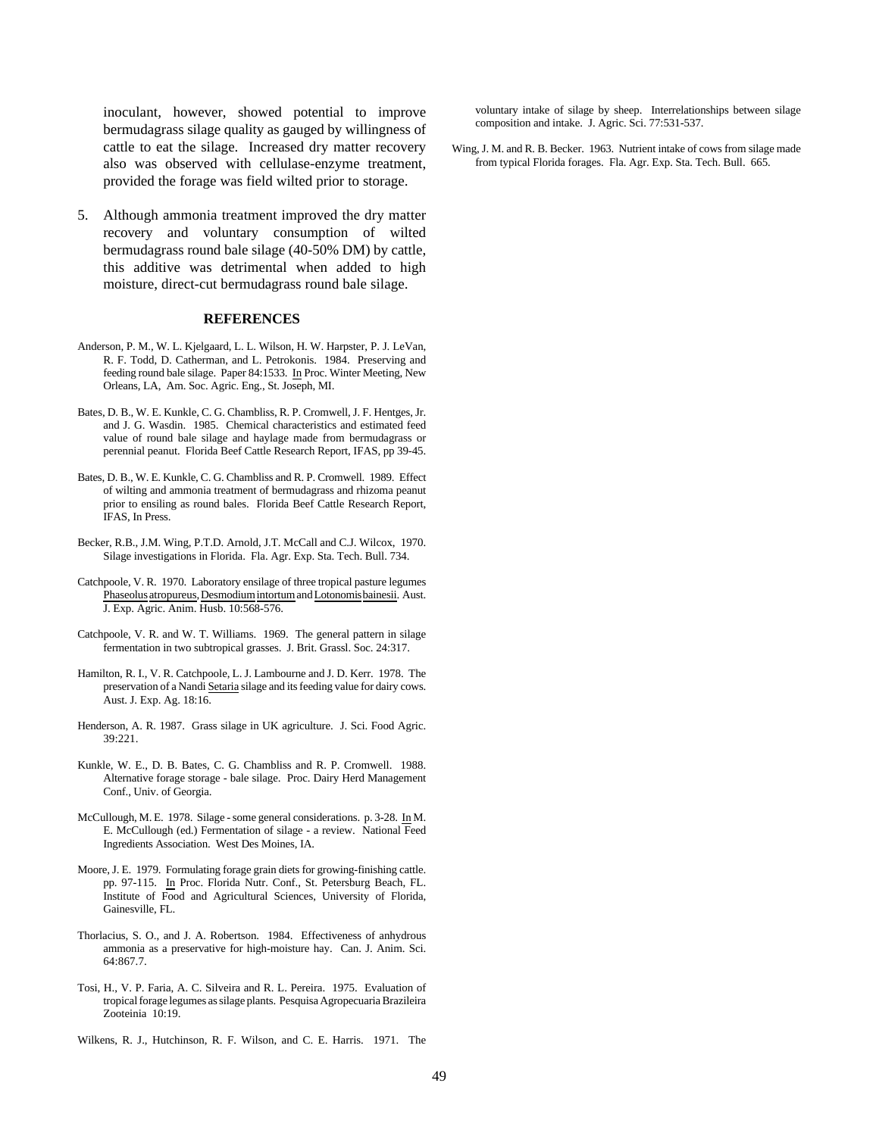inoculant, however, showed potential to improve bermudagrass silage quality as gauged by willingness of cattle to eat the silage. Increased dry matter recovery also was observed with cellulase-enzyme treatment, provided the forage was field wilted prior to storage.

5. Although ammonia treatment improved the dry matter recovery and voluntary consumption of wilted bermudagrass round bale silage (40-50% DM) by cattle, this additive was detrimental when added to high moisture, direct-cut bermudagrass round bale silage.

# **REFERENCES**

- Anderson, P. M., W. L. Kjelgaard, L. L. Wilson, H. W. Harpster, P. J. LeVan, R. F. Todd, D. Catherman, and L. Petrokonis. 1984. Preserving and feeding round bale silage. Paper 84:1533. In Proc. Winter Meeting, New Orleans, LA, Am. Soc. Agric. Eng., St. Joseph, MI.
- Bates, D. B., W. E. Kunkle, C. G. Chambliss, R. P. Cromwell, J. F. Hentges, Jr. and J. G. Wasdin. 1985. Chemical characteristics and estimated feed value of round bale silage and haylage made from bermudagrass or perennial peanut. Florida Beef Cattle Research Report, IFAS, pp 39-45.
- Bates, D. B., W. E. Kunkle, C. G. Chambliss and R. P. Cromwell. 1989. Effect of wilting and ammonia treatment of bermudagrass and rhizoma peanut prior to ensiling as round bales. Florida Beef Cattle Research Report, IFAS, In Press.
- Becker, R.B., J.M. Wing, P.T.D. Arnold, J.T. McCall and C.J. Wilcox, 1970. Silage investigations in Florida. Fla. Agr. Exp. Sta. Tech. Bull. 734.
- Catchpoole, V. R. 1970. Laboratory ensilage of three tropical pasture legumes Phaseolus atropureus, Desmodium intortum and Lotonomis bainesii. Aust. J. Exp. Agric. Anim. Husb. 10:568-576.
- Catchpoole, V. R. and W. T. Williams. 1969. The general pattern in silage fermentation in two subtropical grasses. J. Brit. Grassl. Soc. 24:317.
- Hamilton, R. I., V. R. Catchpoole, L. J. Lambourne and J. D. Kerr. 1978. The preservation of a Nandi Setaria silage and its feeding value for dairy cows. Aust. J. Exp. Ag. 18:16.
- Henderson, A. R. 1987. Grass silage in UK agriculture. J. Sci. Food Agric. 39:221.
- Kunkle, W. E., D. B. Bates, C. G. Chambliss and R. P. Cromwell. 1988. Alternative forage storage - bale silage. Proc. Dairy Herd Management Conf., Univ. of Georgia.
- McCullough, M. E. 1978. Silage some general considerations. p. 3-28. In M. E. McCullough (ed.) Fermentation of silage - a review. National Feed Ingredients Association. West Des Moines, IA.
- Moore, J. E. 1979. Formulating forage grain diets for growing-finishing cattle. pp. 97-115. In Proc. Florida Nutr. Conf., St. Petersburg Beach, FL. Institute of Food and Agricultural Sciences, University of Florida, Gainesville, FL.
- Thorlacius, S. O., and J. A. Robertson. 1984. Effectiveness of anhydrous ammonia as a preservative for high-moisture hay. Can. J. Anim. Sci. 64:867.7.
- Tosi, H., V. P. Faria, A. C. Silveira and R. L. Pereira. 1975. Evaluation of tropical forage legumes as silage plants. Pesquisa Agropecuaria Brazileira Zooteinia 10:19.
- Wilkens, R. J., Hutchinson, R. F. Wilson, and C. E. Harris. 1971. The

voluntary intake of silage by sheep. Interrelationships between silage composition and intake. J. Agric. Sci. 77:531-537.

Wing, J. M. and R. B. Becker. 1963. Nutrient intake of cows from silage made from typical Florida forages. Fla. Agr. Exp. Sta. Tech. Bull. 665.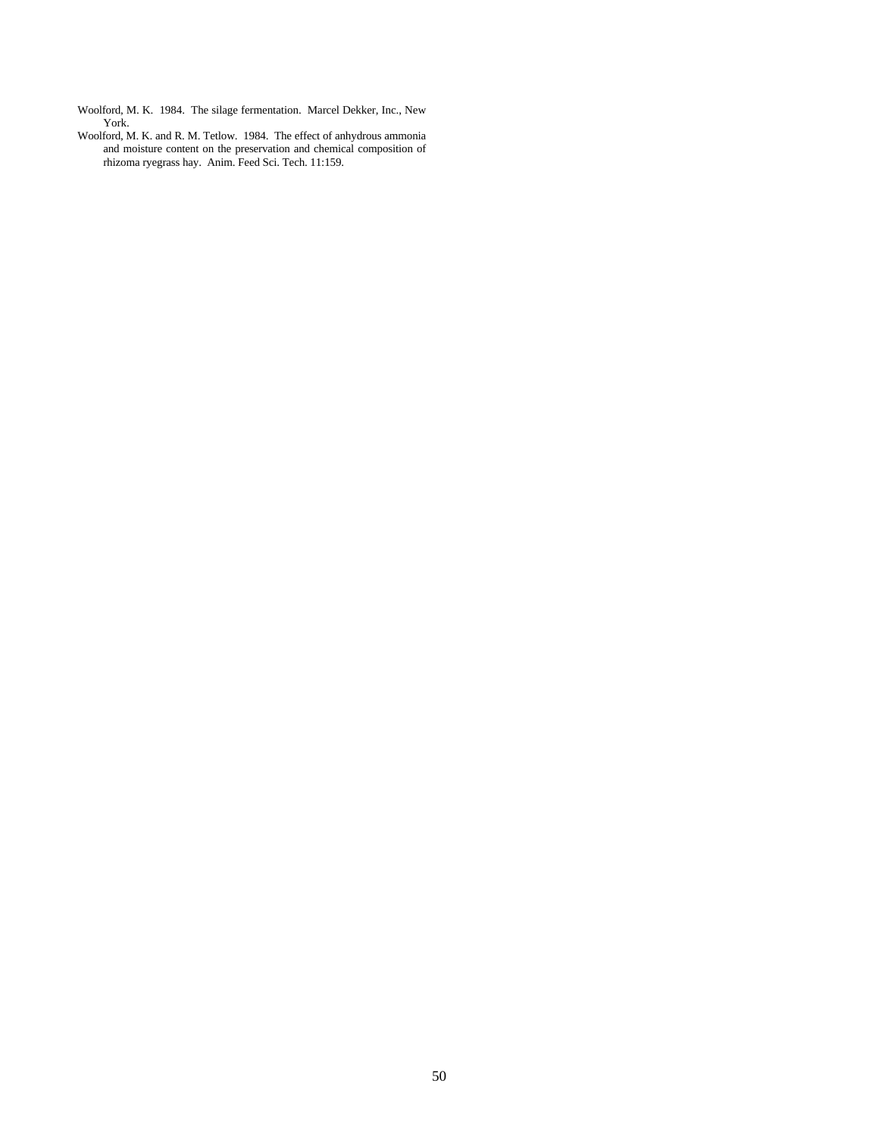- Woolford, M. K. 1984. The silage fermentation. Marcel Dekker, Inc., New York.
- Woolford, M. K. and R. M. Tetlow. 1984. The effect of anhydrous ammonia and moisture content on the preservation and chemical composition of rhizoma ryegrass hay. Anim. Feed Sci. Tech. 11:159.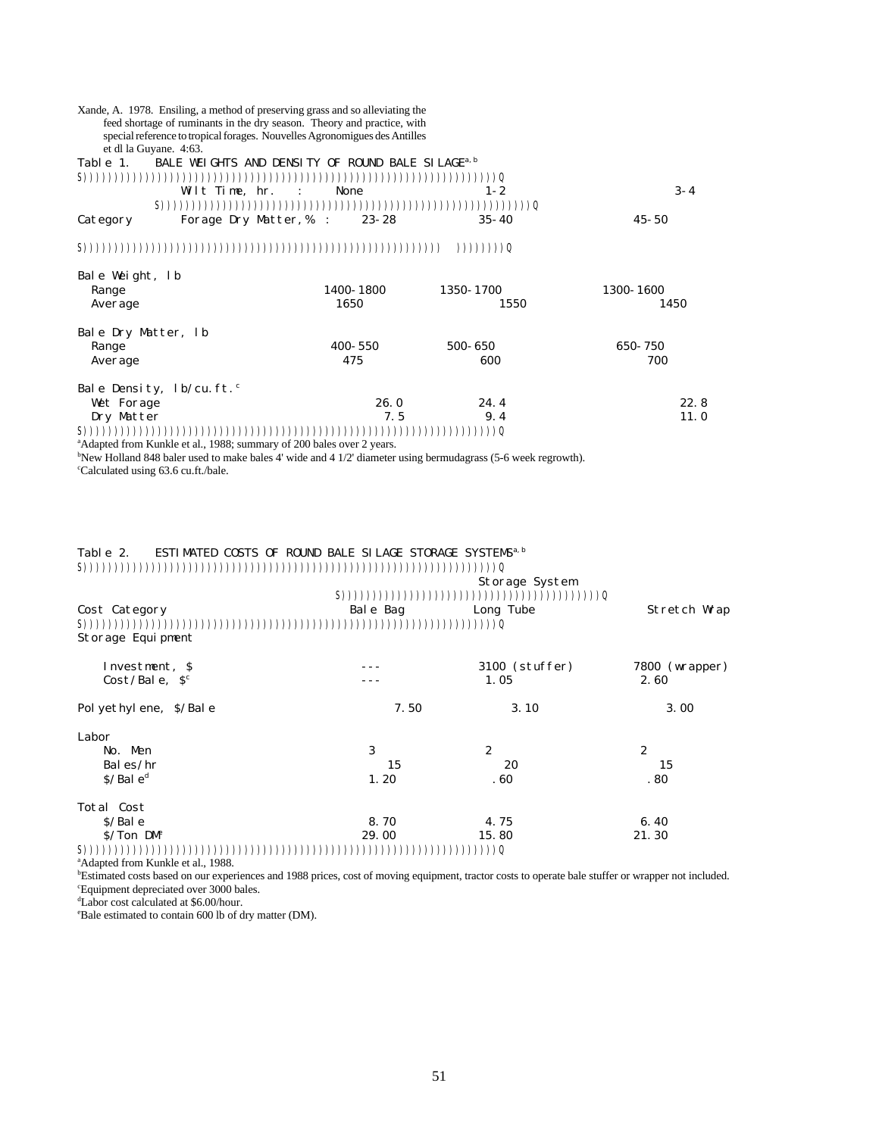|                                       | feed shortage of ruminants in the dry season. Theory and practice, with<br>special reference to tropical forages. Nouvelles Agronomigues des Antilles |                   |           |
|---------------------------------------|-------------------------------------------------------------------------------------------------------------------------------------------------------|-------------------|-----------|
| et dl la Guyane. 4:63.                |                                                                                                                                                       |                   |           |
| Table 1.                              | BALE WEIGHTS AND DENSITY OF ROUND BALE SILAGE <sup>a, b</sup>                                                                                         |                   |           |
|                                       |                                                                                                                                                       |                   |           |
|                                       |                                                                                                                                                       |                   |           |
|                                       | Wilt Time, hr. :<br>None                                                                                                                              | $1 - 2$           | $3 - 4$   |
|                                       |                                                                                                                                                       |                   |           |
| Category                              | Forage Dry Matter, % :<br>$23 - 28$                                                                                                                   | $35 - 40$         | $45 - 50$ |
|                                       |                                                                                                                                                       | ( ) ) ) ) ) ) ) ) |           |
| Bale Weight, lb                       |                                                                                                                                                       |                   |           |
| Range                                 | 1400-1800                                                                                                                                             | 1350-1700         | 1300-1600 |
| Average                               | 1650                                                                                                                                                  | 1550              | 1450      |
| Bale Dry Matter, 1b                   |                                                                                                                                                       |                   |           |
| Range                                 | $400 - 550$                                                                                                                                           | 500-650           | 650-750   |
| Average                               | 475                                                                                                                                                   | 600               | 700       |
| Bale Density, $1b/cu$ . ft. $\degree$ |                                                                                                                                                       |                   |           |
| Wet Forage                            | 26.0                                                                                                                                                  | 24.4              | 22.8      |
| Dry Matter                            | 7.5                                                                                                                                                   | 9.4               | 11.0      |

S)))))))))))))))))))))))))))))))))))))))))))))))))))))))))))))))))))Q

aAdapted from Kunkle et al., 1988; summary of 200 bales over 2 years.

Xande, A. 1978. Ensiling, a method of preserving grass and so alleviating the

<sup>b</sup>New Holland 848 baler used to make bales 4' wide and 4 1/2' diameter using bermudagrass (5-6 week regrowth). <sup>c</sup>Calculated using 63.6 cu.ft./bale.

# Table 2. ESTIMATED COSTS OF ROUND BALE SILAGE STORAGE SYSTEMS<sup>a, b</sup>

S)))))))))))))))))))))))))))))))))))))))))))))))))))))))))))))))))))Q

|                         | Storage System                                       |                  |                  |  |  |
|-------------------------|------------------------------------------------------|------------------|------------------|--|--|
|                         | $S)))))))))))))))))))))))))))))))))))))))))))))))))$ |                  |                  |  |  |
| Cost Category           | Bale Bag                                             | Long Tube        | Stretch Wrap     |  |  |
| S(1)                    |                                                      |                  |                  |  |  |
| Storage Equipment       |                                                      |                  |                  |  |  |
| Investment, \$          |                                                      | 3100 (stuffer)   | 7800 (wrapper)   |  |  |
| Cost/Bale, $S^c$        |                                                      | 1.05             | 2.60             |  |  |
| Polyethylene, \$/Bale   | 7.50                                                 | 3.10             | 3.00             |  |  |
| Labor                   |                                                      |                  |                  |  |  |
| No. Men                 | 3                                                    | $\boldsymbol{2}$ | $\boldsymbol{2}$ |  |  |
| Bal es/ $hr$            | 15                                                   | 20               | 15               |  |  |
| S/Bal e <sup>d</sup>    | 1.20                                                 | .60              | .80              |  |  |
| Total Cost              |                                                      |                  |                  |  |  |
| $S/Bal$ e               | 8.70                                                 | 4.75             | 6.40             |  |  |
| $S/Ton$ DM <sup>e</sup> | 29.00                                                | 15.80            | 21.30            |  |  |

S)))))))))))))))))))))))))))))))))))))))))))))))))))))))))))))))))))Q <sup>a</sup>Adapted from Kunkle et al., 1988.

**BESTIME DESTIMATE COSTS based on our experiences and 1988 prices, cost of moving equipment, tractor costs to operate bale stuffer or wrapper not included.** <sup>c</sup>Equipment depreciated over 3000 bales.

<sup>d</sup>Labor cost calculated at \$6.00/hour.

eBale estimated to contain 600 lb of dry matter (DM).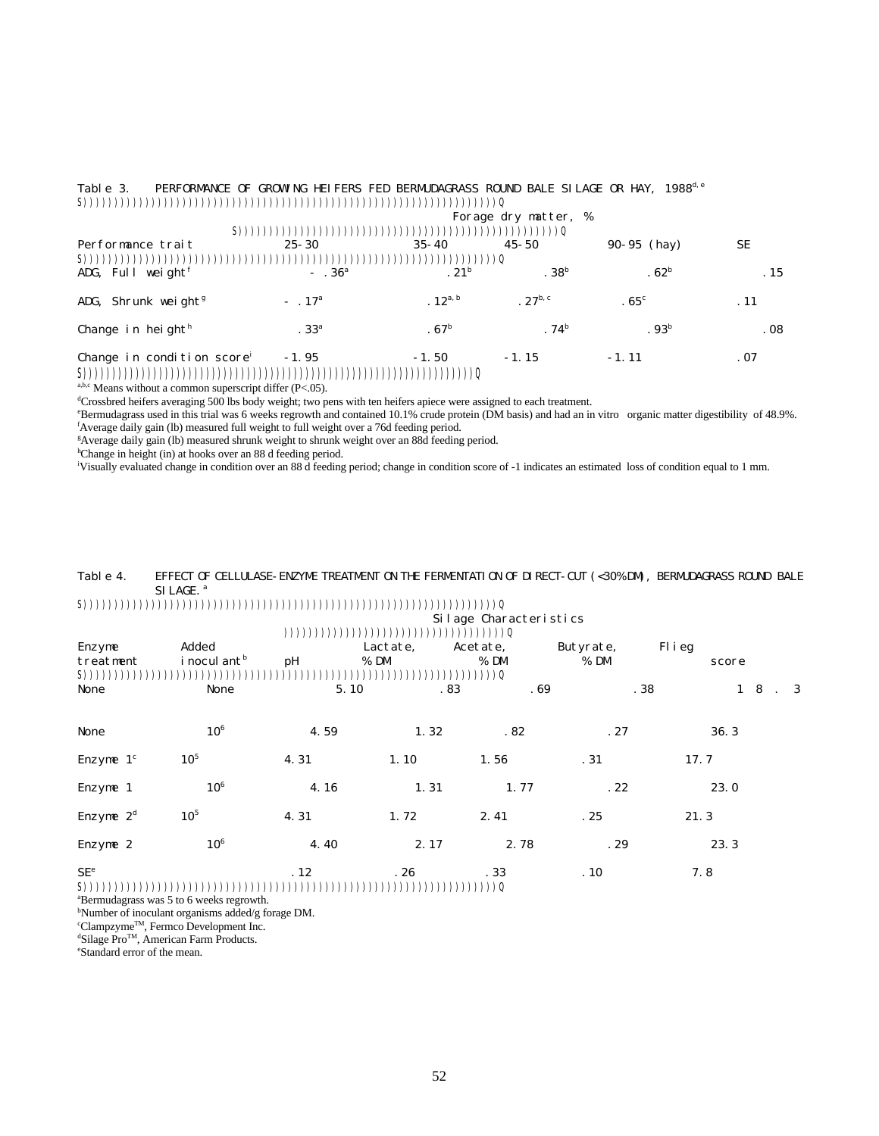| Table 3.                                       | PERFORMANCE OF GROWING HEIFERS FED BERMUDAGRASS ROUND BALE SILAGE OR HAY, 1988 <sup>d, e</sup> |                  |                      |                  |      |
|------------------------------------------------|------------------------------------------------------------------------------------------------|------------------|----------------------|------------------|------|
| S))))))))                                      |                                                                                                | ))))))))))))))   |                      |                  |      |
|                                                |                                                                                                |                  | Forage dry matter, % |                  |      |
| $S)$ )                                         |                                                                                                |                  | (1)                  |                  |      |
| Performance trait                              | $25 - 30$                                                                                      | $35 - 40$        | $45 - 50$            | $90-95$ (hay)    | SE   |
| S))))))))                                      |                                                                                                |                  |                      |                  |      |
| ADG, Full weight <sup><math>f</math></sup>     | $- .36^{\rm a}$                                                                                | .21 <sup>b</sup> | .38 <sup>b</sup>     | .62 <sup>b</sup> | . 15 |
| ADG, Shrunk weight <sup><math>g</math></sup>   | $-17^{\rm a}$                                                                                  | $.12^{a, b}$     | . $27^{b, c}$        | .65 <sup>c</sup> | . 11 |
| Change in height $^h$                          | .33 <sup>a</sup>                                                                               | .67 <sup>b</sup> | .74 <sup>b</sup>     | .93 <sup>b</sup> | .08  |
| Change in condition score <sup>i</sup><br>S(1) | $-1.95$                                                                                        | $-1.50$          | $-1.15$              | $-1.11$          | .07  |

S)))))))))))))))))))))))))))))))))))))))))))))))))))))))))))))))))))Q a,b,c Means without a common superscript differ (P<.05).

<sup>d</sup>Crossbred heifers averaging 500 lbs body weight; two pens with ten heifers apiece were assigned to each treatment.

<sup>e</sup>Bermudagrass used in this trial was 6 weeks regrowth and contained 10.1% crude protein (DM basis) and had an in vitro organic matter digestibility of 48.9%. <sup>f</sup>Average daily gain (lb) measured full weight to full weight over a 76d feeding period.

<sup>g</sup>Average daily gain (lb) measured shrunk weight to shrunk weight over an 88d feeding period.

<sup>h</sup>Change in height (in) at hooks over an 88 d feeding period.

<sup>i</sup>Visually evaluated change in condition over an 88 d feeding period; change in condition score of -1 indicates an estimated loss of condition equal to 1 mm.

## Table 4. EFFECT OF CELLULASE-ENZYME TREATMENT ON THE FERMENTATION OF DIRECT-CUT (<30% DM), BERMUDAGRASS ROUND BALE SI LAGE.<sup>a</sup>

S)))))))))))))))))))))))))))))))))))))))))))))))))))))))))))))))))))Q

|                              | Silage Characteristics            |               |                    |                                                   |                   |                             |  |
|------------------------------|-----------------------------------|---------------|--------------------|---------------------------------------------------|-------------------|-----------------------------|--|
| Enzyme<br>treatment<br>S)))) | Added<br>i nocul ant <sup>b</sup> | ) ) ) )<br>pН | Lactate,<br>$%$ DM | ( ) ) ) ) ) ) ) )<br>Acetate,<br>$%$ DM<br>$))$ ) | Butyrate,<br>% DM | Flieg<br>score              |  |
| None                         | None                              | 5.10          | . 83               | .69                                               | .38               | $1 \quad 8 \quad . \quad 3$ |  |
| None                         | 10 <sup>6</sup>                   | 4.59          | 1.32               | .82                                               | .27               | 36.3                        |  |
| Enzyme $1c$                  | 10 <sup>5</sup>                   | 4.31          | 1.10               | 1.56                                              | .31               | 17.7                        |  |
| Enzyme 1                     | 10 <sup>6</sup>                   | 4.16          | 1.31               | 1.77                                              | .22               | 23.0                        |  |
| Enzyme $2^d$                 | 10 <sup>5</sup>                   | 4.31          | 1.72               | 2.41                                              | .25               | 21.3                        |  |
| Enzyme 2                     | 10 <sup>6</sup>                   | 4.40          | 2.17               | 2.78                                              | .29               | 23.3                        |  |
| SE <sup>e</sup><br>S))       |                                   | .12           | .26                | .33<br>))))Q                                      | .10               | 7.8                         |  |

<sup>a</sup>Bermudagrass was 5 to 6 weeks regrowth.

bNumber of inoculant organisms added/g forage DM.

<sup>c</sup>Clampzyme<sup>™</sup>, Fermco Development Inc.

<sup>d</sup>Silage Pro™, American Farm Products.

eStandard error of the mean.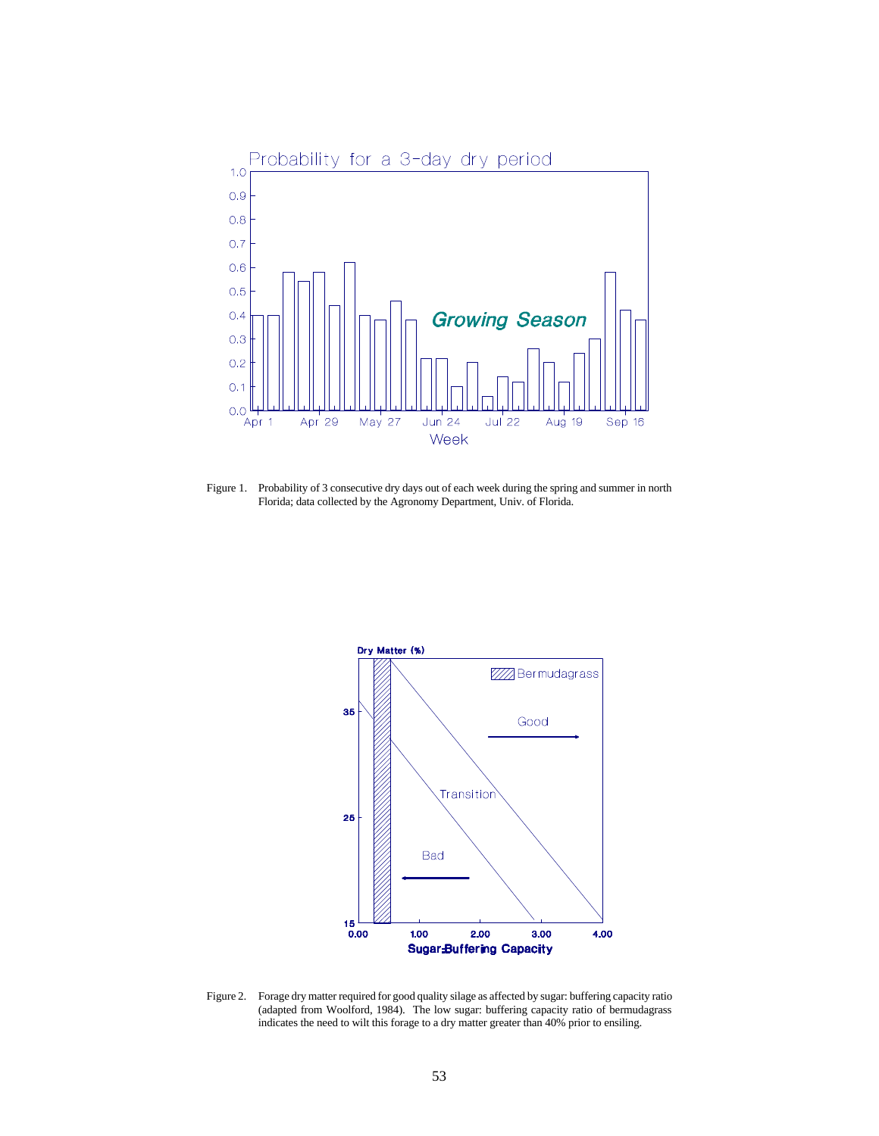

Figure 1. Probability of 3 consecutive dry days out of each week during the spring and summer in north Florida; data collected by the Agronomy Department, Univ. of Florida.



Figure 2. Forage dry matter required for good quality silage as affected by sugar: buffering capacity ratio (adapted from Woolford, 1984). The low sugar: buffering capacity ratio of bermudagrass indicates the need to wilt this forage to a dry matter greater than 40% prior to ensiling.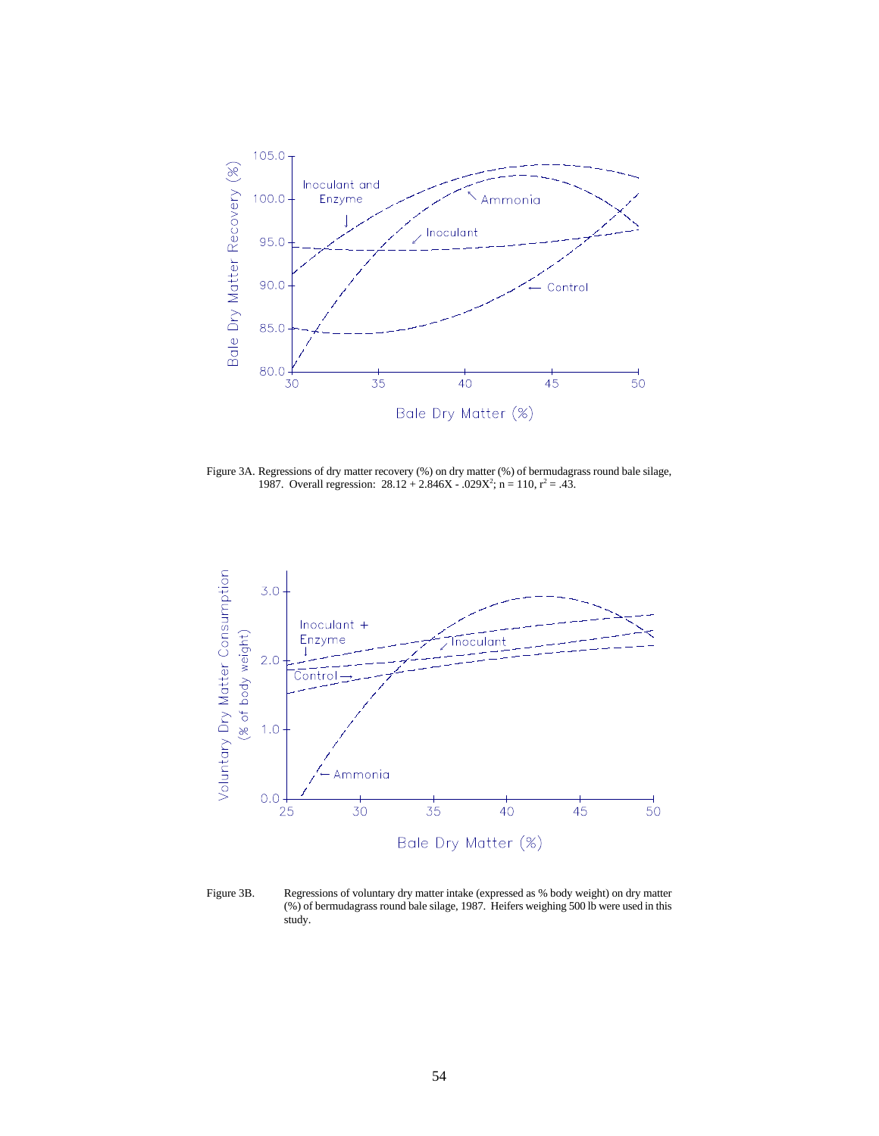

Figure 3A. Regressions of dry matter recovery (%) on dry matter (%) of bermudagrass round bale silage, 1987. Overall regression:  $28.12 + 2.846X - 0.029X^2$ ; n = 110, r<sup>2</sup> = .43.



Figure 3B. Regressions of voluntary dry matter intake (expressed as % body weight) on dry matter (%) of bermudagrass round bale silage, 1987. Heifers weighing 500 lb were used in this study.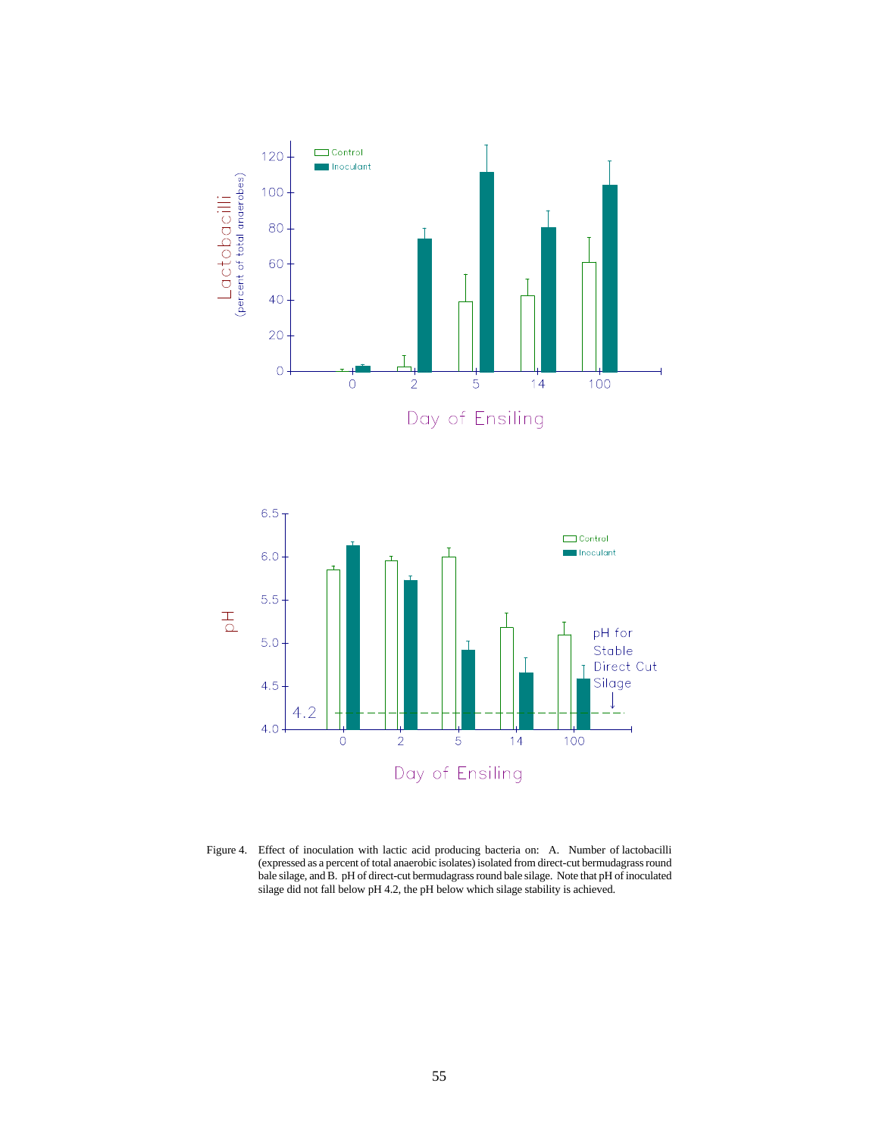



Figure 4. Effect of inoculation with lactic acid producing bacteria on: A. Number of lactobacilli (expressed as a percent of total anaerobic isolates) isolated from direct-cut bermudagrass round bale silage, and B. pH of direct-cut bermudagrass round bale silage. Note that pH of inoculated silage did not fall below pH 4.2, the pH below which silage stability is achieved.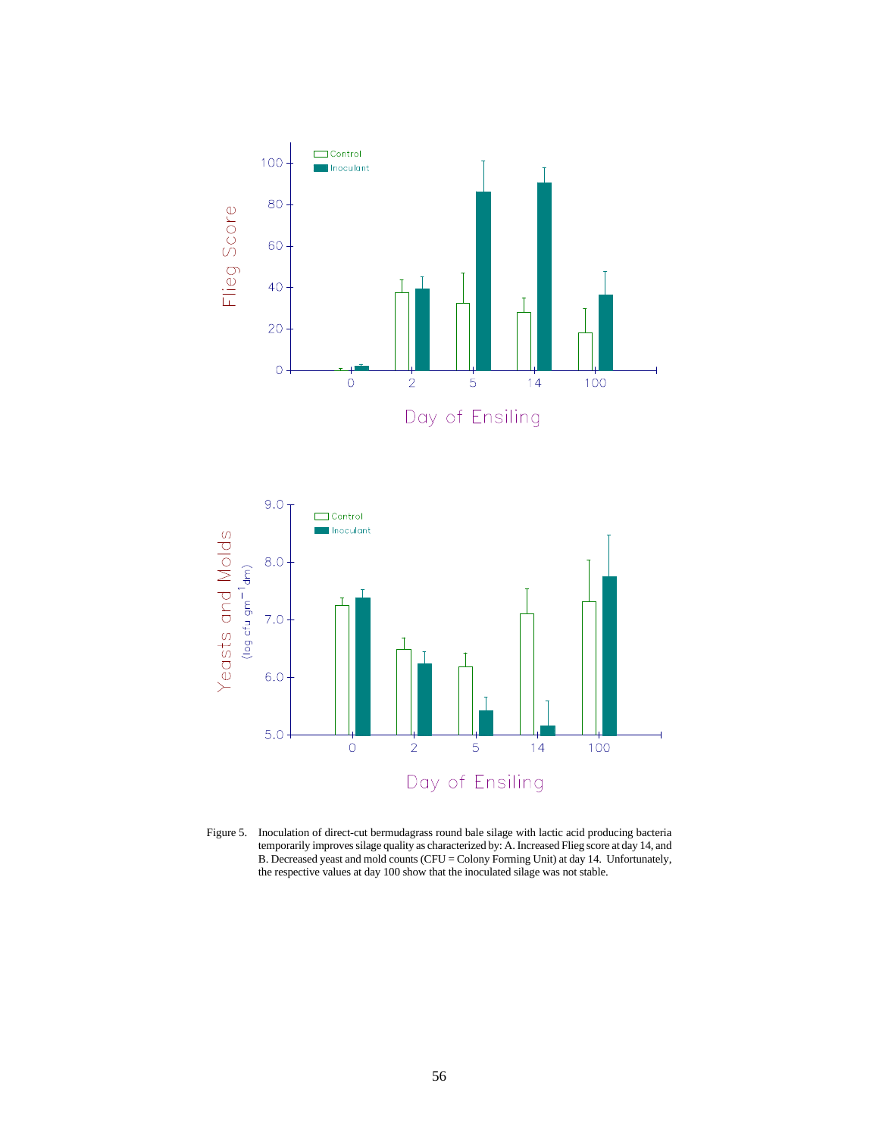

Figure 5. Inoculation of direct-cut bermudagrass round bale silage with lactic acid producing bacteria temporarily improves silage quality as characterized by: A. Increased Flieg score at day 14, and B. Decreased yeast and mold counts (CFU = Colony Forming Unit) at day 14. Unfortunately, the respective values at day 100 show that the inoculated silage was not stable.